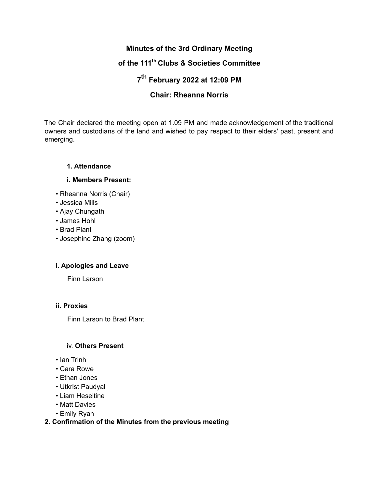# **Minutes of the 3rd Ordinary Meeting**

# **of the 111 th Clubs & Societies Committee**

# **7 th February 2022 at 12:09 PM**

# **Chair: Rheanna Norris**

The Chair declared the meeting open at 1.09 PM and made acknowledgement of the traditional owners and custodians of the land and wished to pay respect to their elders' past, present and emerging.

# **1. Attendance**

# **i. Members Present:**

- Rheanna Norris (Chair)
- Jessica Mills
- Ajay Chungath
- James Hohl
- Brad Plant
- Josephine Zhang (zoom)

# **i. Apologies and Leave**

Finn Larson

# **ii. Proxies**

Finn Larson to Brad Plant

# iv. **Others Present**

- Ian Trinh
- Cara Rowe
- Ethan Jones
- Utkrist Paudyal
- Liam Heseltine
- Matt Davies
- Emily Ryan

# **2. Confirmation of the Minutes from the previous meeting**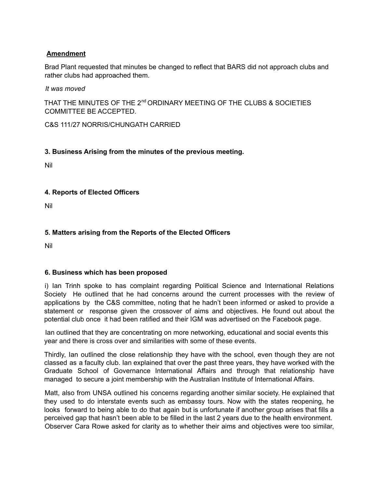# **Amendment**

Brad Plant requested that minutes be changed to reflect that BARS did not approach clubs and rather clubs had approached them.

*It was moved*

THAT THE MINUTES OF THE 2<sup>nd</sup> ORDINARY MEETING OF THE CLUBS & SOCIETIES COMMITTEE BE ACCEPTED.

C&S 111/27 NORRIS/CHUNGATH CARRIED

# **3. Business Arising from the minutes of the previous meeting.**

Nil

# **4. Reports of Elected Officers**

Nil

# **5. Matters arising from the Reports of the Elected Officers**

Nil

# **6. Business which has been proposed**

i) Ian Trinh spoke to has complaint regarding Political Science and International Relations Society He outlined that he had concerns around the current processes with the review of applications by the C&S committee, noting that he hadn't been informed or asked to provide a statement or response given the crossover of aims and objectives. He found out about the potential club once it had been ratified and their IGM was advertised on the Facebook page.

Ian outlined that they are concentrating on more networking, educational and social events this year and there is cross over and similarities with some of these events.

Thirdly, Ian outlined the close relationship they have with the school, even though they are not classed as a faculty club. Ian explained that over the past three years, they have worked with the Graduate School of Governance International Affairs and through that relationship have managed to secure a joint membership with the Australian Institute of International Affairs.

Matt, also from UNSA outlined his concerns regarding another similar society. He explained that they used to do interstate events such as embassy tours. Now with the states reopening, he looks forward to being able to do that again but is unfortunate if another group arises that fills a perceived gap that hasn't been able to be filled in the last 2 years due to the health environment. Observer Cara Rowe asked for clarity as to whether their aims and objectives were too similar,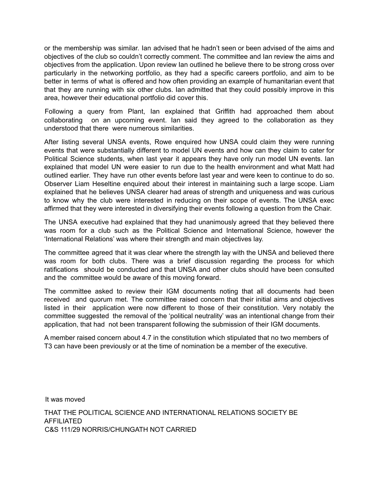or the membership was similar. Ian advised that he hadn't seen or been advised of the aims and objectives of the club so couldn't correctly comment. The committee and Ian review the aims and objectives from the application. Upon review Ian outlined he believe there to be strong cross over particularly in the networking portfolio, as they had a specific careers portfolio, and aim to be better in terms of what is offered and how often providing an example of humanitarian event that that they are running with six other clubs. Ian admitted that they could possibly improve in this area, however their educational portfolio did cover this.

Following a query from Plant, Ian explained that Griffith had approached them about collaborating on an upcoming event. Ian said they agreed to the collaboration as they understood that there were numerous similarities.

After listing several UNSA events, Rowe enquired how UNSA could claim they were running events that were substantially different to model UN events and how can they claim to cater for Political Science students, when last year it appears they have only run model UN events. Ian explained that model UN were easier to run due to the health environment and what Matt had outlined earlier. They have run other events before last year and were keen to continue to do so. Observer Liam Heseltine enquired about their interest in maintaining such a large scope. Liam explained that he believes UNSA clearer had areas of strength and uniqueness and was curious to know why the club were interested in reducing on their scope of events. The UNSA exec affirmed that they were interested in diversifying their events following a question from the Chair.

The UNSA executive had explained that they had unanimously agreed that they believed there was room for a club such as the Political Science and International Science, however the 'International Relations' was where their strength and main objectives lay.

The committee agreed that it was clear where the strength lay with the UNSA and believed there was room for both clubs. There was a brief discussion regarding the process for which ratifications should be conducted and that UNSA and other clubs should have been consulted and the committee would be aware of this moving forward.

The committee asked to review their IGM documents noting that all documents had been received and quorum met. The committee raised concern that their initial aims and objectives listed in their application were now different to those of their constitution. Very notably the committee suggested the removal of the 'political neutrality' was an intentional change from their application, that had not been transparent following the submission of their IGM documents.

A member raised concern about 4.7 in the constitution which stipulated that no two members of T3 can have been previously or at the time of nomination be a member of the executive.

It was moved

THAT THE POLITICAL SCIENCE AND INTERNATIONAL RELATIONS SOCIETY BE AFFILIATED C&S 111/29 NORRIS/CHUNGATH NOT CARRIED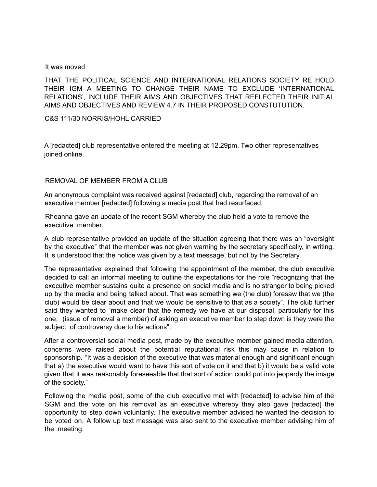#### It was moved

THAT THE POLITICAL SCIENCE AND INTERNATIONAL RELATIONS SOCIETY RE HOLD THEIR IGM A MEETING TO CHANGE THEIR NAME TO EXCLUDE 'INTERNATIONAL RELATIONS', INCLUDE THEIR AIMS AND OBJECTIVES THAT REFLECTED THEIR INITIAL AIMS AND OBJECTIVES AND REVIEW 4.7 IN THEIR PROPOSED CONSTUTUTION.

C&S 111/30 NORRIS/HOHL CARRIED

A [redacted] club representative entered the meeting at 12.29pm. Two other representatives joined online.

#### REMOVAL OF MEMBER FROM A CLUB

An anonymous complaint was received against [redacted] club, regarding the removal of an executive member [redacted] following a media post that had resurfaced.

Rheanna gave an update of the recent SGM whereby the club held a vote to remove the executive member.

A club representative provided an update of the situation agreeing that there was an "oversight by the executive" that the member was not given warning by the secretary specifically, in writing. It is understood that the notice was given by a text message, but not by the Secretary.

The representative explained that following the appointment of the member, the club executive decided to call an informal meeting to outline the expectations for the role "recognizing that the executive member sustains quite a presence on social media and is no stranger to being picked up by the media and being talked about. That was something we (the club) foresaw that we (the club) would be clear about and that we would be sensitive to that as a society". The club further said they wanted to "make clear that the remedy we have at our disposal, particularly for this one, (issue of removal a member) of asking an executive member to step down is they were the subject of controversy due to his actions".

After a controversial social media post, made by the executive member gained media attention, concerns were raised about the potential reputational risk this may cause in relation to sponsorship. "It was a decision of the executive that was material enough and significant enough that a) the executive would want to have this sort of vote on it and that b) it would be a valid vote given that it was reasonably foreseeable that that sort of action could put into jeopardy the image of the society."

Following the media post, some of the club executive met with [redacted] to advise him of the SGM and the vote on his removal as an executive whereby they also gave [redacted] the opportunity to step down voluntarily. The executive member advised he wanted the decision to be voted on. A follow up text message was also sent to the executive member advising him of the meeting.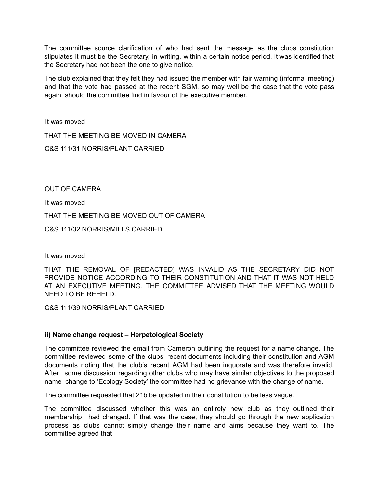The committee source clarification of who had sent the message as the clubs constitution stipulates it must be the Secretary, in writing, within a certain notice period. It was identified that the Secretary had not been the one to give notice.

The club explained that they felt they had issued the member with fair warning (informal meeting) and that the vote had passed at the recent SGM, so may well be the case that the vote pass again should the committee find in favour of the executive member.

It was moved

THAT THE MEETING BE MOVED IN CAMERA

C&S 111/31 NORRIS/PLANT CARRIED

OUT OF CAMERA

It was moved

THAT THE MEETING BE MOVED OUT OF CAMERA

C&S 111/32 NORRIS/MILLS CARRIED

It was moved

THAT THE REMOVAL OF [REDACTED] WAS INVALID AS THE SECRETARY DID NOT PROVIDE NOTICE ACCORDING TO THEIR CONSTITUTION AND THAT IT WAS NOT HELD AT AN EXECUTIVE MEETING. THE COMMITTEE ADVISED THAT THE MEETING WOULD NEED TO BE REHELD.

C&S 111/39 NORRIS/PLANT CARRIED

# **ii) Name change request – Herpetological Society**

The committee reviewed the email from Cameron outlining the request for a name change. The committee reviewed some of the clubs' recent documents including their constitution and AGM documents noting that the club's recent AGM had been inquorate and was therefore invalid. After some discussion regarding other clubs who may have similar objectives to the proposed name change to 'Ecology Society' the committee had no grievance with the change of name.

The committee requested that 21b be updated in their constitution to be less vague.

The committee discussed whether this was an entirely new club as they outlined their membership had changed. If that was the case, they should go through the new application process as clubs cannot simply change their name and aims because they want to. The committee agreed that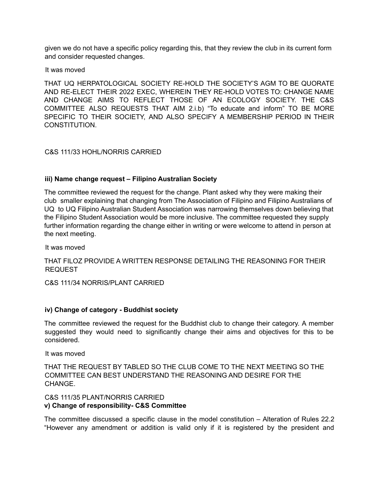given we do not have a specific policy regarding this, that they review the club in its current form and consider requested changes.

#### It was moved

THAT UQ HERPATOLOGICAL SOCIETY RE-HOLD THE SOCIETY'S AGM TO BE QUORATE AND RE-ELECT THEIR 2022 EXEC, WHEREIN THEY RE-HOLD VOTES TO: CHANGE NAME AND CHANGE AIMS TO REFLECT THOSE OF AN ECOLOGY SOCIETY. THE C&S COMMITTEE ALSO REQUESTS THAT AIM 2.i.b) "To educate and inform" TO BE MORE SPECIFIC TO THEIR SOCIETY, AND ALSO SPECIFY A MEMBERSHIP PERIOD IN THEIR CONSTITUTION.

# C&S 111/33 HOHL/NORRIS CARRIED

# **iii) Name change request – Filipino Australian Society**

The committee reviewed the request for the change. Plant asked why they were making their club smaller explaining that changing from The Association of Filipino and Filipino Australians of UQ to UQ Filipino Australian Student Association was narrowing themselves down believing that the Filipino Student Association would be more inclusive. The committee requested they supply further information regarding the change either in writing or were welcome to attend in person at the next meeting.

It was moved

THAT FILOZ PROVIDE A WRITTEN RESPONSE DETAILING THE REASONING FOR THEIR REQUEST

C&S 111/34 NORRIS/PLANT CARRIED

# **iv) Change of category - Buddhist society**

The committee reviewed the request for the Buddhist club to change their category. A member suggested they would need to significantly change their aims and objectives for this to be considered.

It was moved

THAT THE REQUEST BY TABLED SO THE CLUB COME TO THE NEXT MEETING SO THE COMMITTEE CAN BEST UNDERSTAND THE REASONING AND DESIRE FOR THE **CHANGE** 

#### C&S 111/35 PLANT/NORRIS CARRIED **v) Change of responsibility- C&S Committee**

The committee discussed a specific clause in the model constitution – Alteration of Rules 22.2 "However any amendment or addition is valid only if it is registered by the president and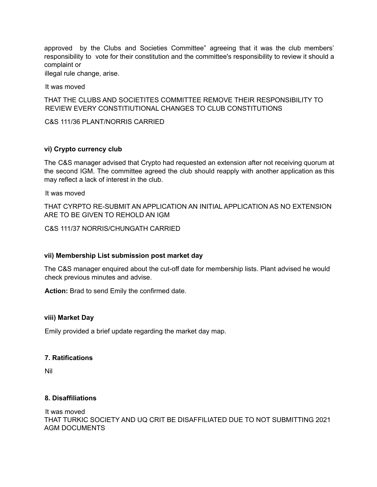approved by the Clubs and Societies Committee" agreeing that it was the club members' responsibility to vote for their constitution and the committee's responsibility to review it should a complaint or

illegal rule change, arise.

It was moved

THAT THE CLUBS AND SOCIETITES COMMITTEE REMOVE THEIR RESPONSIBILITY TO REVIEW EVERY CONSTITIUTIONAL CHANGES TO CLUB CONSTITUTIONS

C&S 111/36 PLANT/NORRIS CARRIED

# **vi) Crypto currency club**

The C&S manager advised that Crypto had requested an extension after not receiving quorum at the second IGM. The committee agreed the club should reapply with another application as this may reflect a lack of interest in the club.

It was moved

THAT CYRPTO RE-SUBMIT AN APPLICATION AN INITIAL APPLICATION AS NO EXTENSION ARE TO BE GIVEN TO REHOLD AN IGM

C&S 111/37 NORRIS/CHUNGATH CARRIED

# **vii) Membership List submission post market day**

The C&S manager enquired about the cut-off date for membership lists. Plant advised he would check previous minutes and advise.

**Action:** Brad to send Emily the confirmed date.

#### **viii) Market Day**

Emily provided a brief update regarding the market day map.

# **7. Ratifications**

Nil

# **8. Disaffiliations**

It was moved THAT TURKIC SOCIETY AND UQ CRIT BE DISAFFILIATED DUE TO NOT SUBMITTING 2021 AGM DOCUMENTS